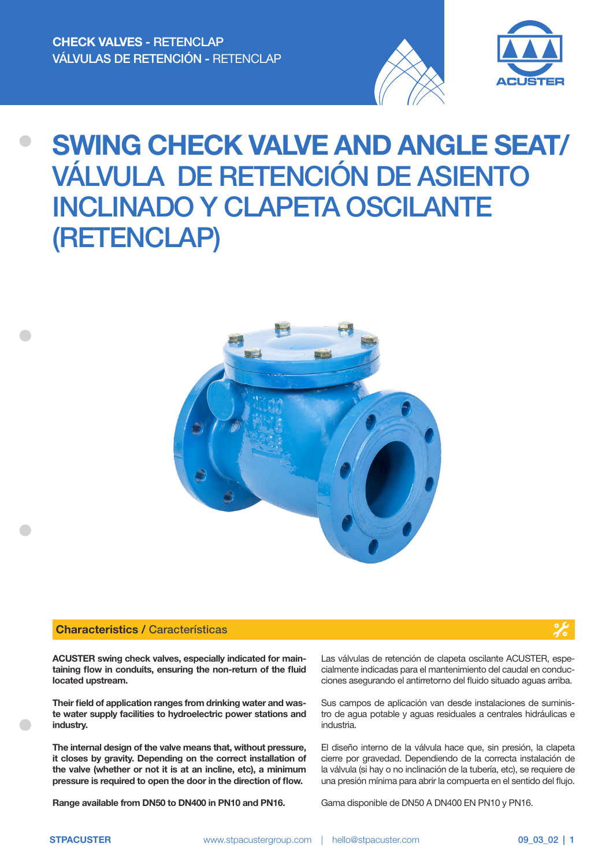



# SWING CHECK VALVE AND ANGLE SEAT/ VÁLVULA DE RETENCIÓN DE ASIENTO INCLINADO Y CLAPETA OSCILANTE (RETENCLAP)



#### Characteristics / Características

ACUSTER swing check valves, especially indicated for maintaining flow in conduits, ensuring the non-return of the fluid located upstream.

Their field of application ranges from drinking water and waste water supply facilities to hydroelectric power stations and industry.

The internal design of the valve means that, without pressure, it closes by gravity. Depending on the correct installation of the valve (whether or not it is at an incline, etc), a minimum pressure is required to open the door in the direction of flow.

Range available from DN50 to DN400 in PN10 and PN16.

Las válvulas de retención de clapeta oscilante ACUSTER, especialmente indicadas para el mantenimiento del caudal en conducciones asegurando el antirretorno del fluido situado aguas arriba.

Sus campos de aplicación van desde instalaciones de suministro de agua potable y aguas residuales a centrales hidráulicas e industria.

El diseño interno de la válvula hace que, sin presión, la clapeta cierre por gravedad. Dependiendo de la correcta instalación de la válvula (si hay o no inclinación de la tubería, etc), se requiere de una presión mínima para abrir la compuerta en el sentido del flujo.

Gama disponible de DN50 A DN400 EN PN10 y PN16.



 $\frac{1}{2}$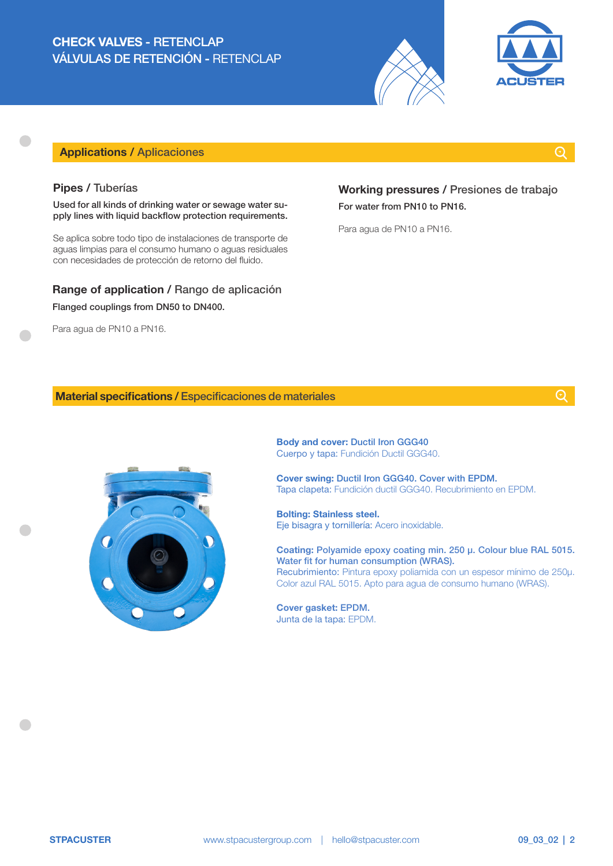## CHECK VALVES - RETENCLAP VÁLVULAS DE RETENCIÓN - RETENCLAP





## Applications / Aplicaciones

## $\odot$

#### Pipes / Tuberías

Used for all kinds of drinking water or sewage water supply lines with liquid backflow protection requirements.

Se aplica sobre todo tipo de instalaciones de transporte de aguas limpias para el consumo humano o aguas residuales con necesidades de protección de retorno del fluido.

## Range of application / Rango de aplicación Flanged couplings from DN50 to DN400.

Para agua de PN10 a PN16.

## Working pressures / Presiones de trabajo For water from PN10 to PN16.

Para agua de PN10 a PN16.

#### Material specifications / Especificaciones de materiales



Body and cover: Ductil Iron GGG40 Cuerpo y tapa: Fundición Ductil GGG40.

Cover swing: Ductil Iron GGG40. Cover with EPDM. Tapa clapeta: Fundición ductil GGG40. Recubrimiento en EPDM.

Bolting: Stainless steel. Eje bisagra y tornillería: Acero inoxidable.

Coating: Polyamide epoxy coating min. 250 μ. Colour blue RAL 5015. Water fit for human consumption (WRAS). Recubrimiento: Pintura epoxy poliamida con un espesor mínimo de 250μ. Color azul RAL 5015. Apto para agua de consumo humano (WRAS).

Cover gasket: EPDM. Junta de la tapa: EPDM.